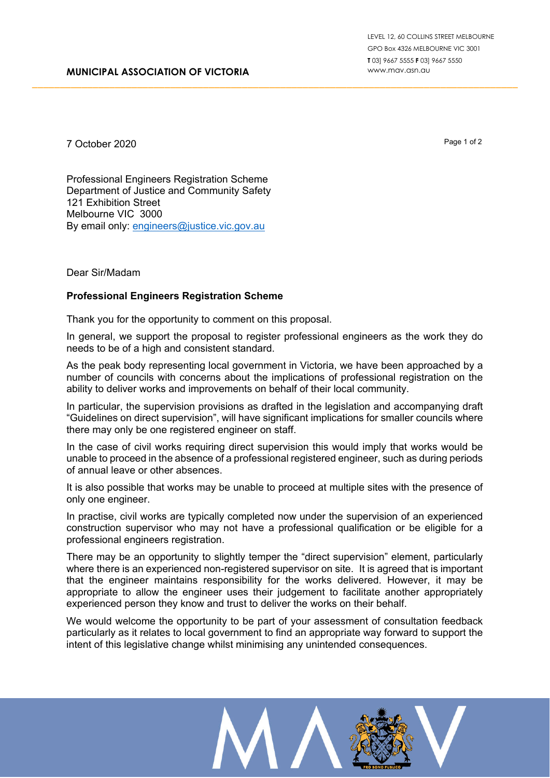7 October 2020

Page 1 of 2

Professional Engineers Registration Scheme Department of Justice and Community Safety 121 Exhibition Street Melbourne VIC 3000 By email only: [engineers@justice.vic.gov.au](mailto:engineers@justice.vic.gov.au)

## Dear Sir/Madam

## **Professional Engineers Registration Scheme**

Thank you for the opportunity to comment on this proposal.

In general, we support the proposal to register professional engineers as the work they do needs to be of a high and consistent standard.

\_\_\_\_\_\_\_\_\_\_\_\_\_\_\_\_\_\_\_\_\_\_\_\_\_\_\_\_\_\_\_\_\_\_\_\_\_\_\_\_\_\_\_\_\_\_\_\_\_\_\_\_\_\_\_\_\_\_\_\_\_\_\_\_\_\_\_\_\_\_\_\_\_\_\_\_\_\_\_\_\_\_\_\_\_\_\_\_

As the peak body representing local government in Victoria, we have been approached by a number of councils with concerns about the implications of professional registration on the ability to deliver works and improvements on behalf of their local community.

In particular, the supervision provisions as drafted in the legislation and accompanying draft "Guidelines on direct supervision", will have significant implications for smaller councils where there may only be one registered engineer on staff.

In the case of civil works requiring direct supervision this would imply that works would be unable to proceed in the absence of a professional registered engineer, such as during periods of annual leave or other absences.

It is also possible that works may be unable to proceed at multiple sites with the presence of only one engineer.

In practise, civil works are typically completed now under the supervision of an experienced construction supervisor who may not have a professional qualification or be eligible for a professional engineers registration.

There may be an opportunity to slightly temper the "direct supervision" element, particularly where there is an experienced non-registered supervisor on site. It is agreed that is important that the engineer maintains responsibility for the works delivered. However, it may be appropriate to allow the engineer uses their judgement to facilitate another appropriately experienced person they know and trust to deliver the works on their behalf.

We would welcome the opportunity to be part of your assessment of consultation feedback particularly as it relates to local government to find an appropriate way forward to support the intent of this legislative change whilst minimising any unintended consequences.